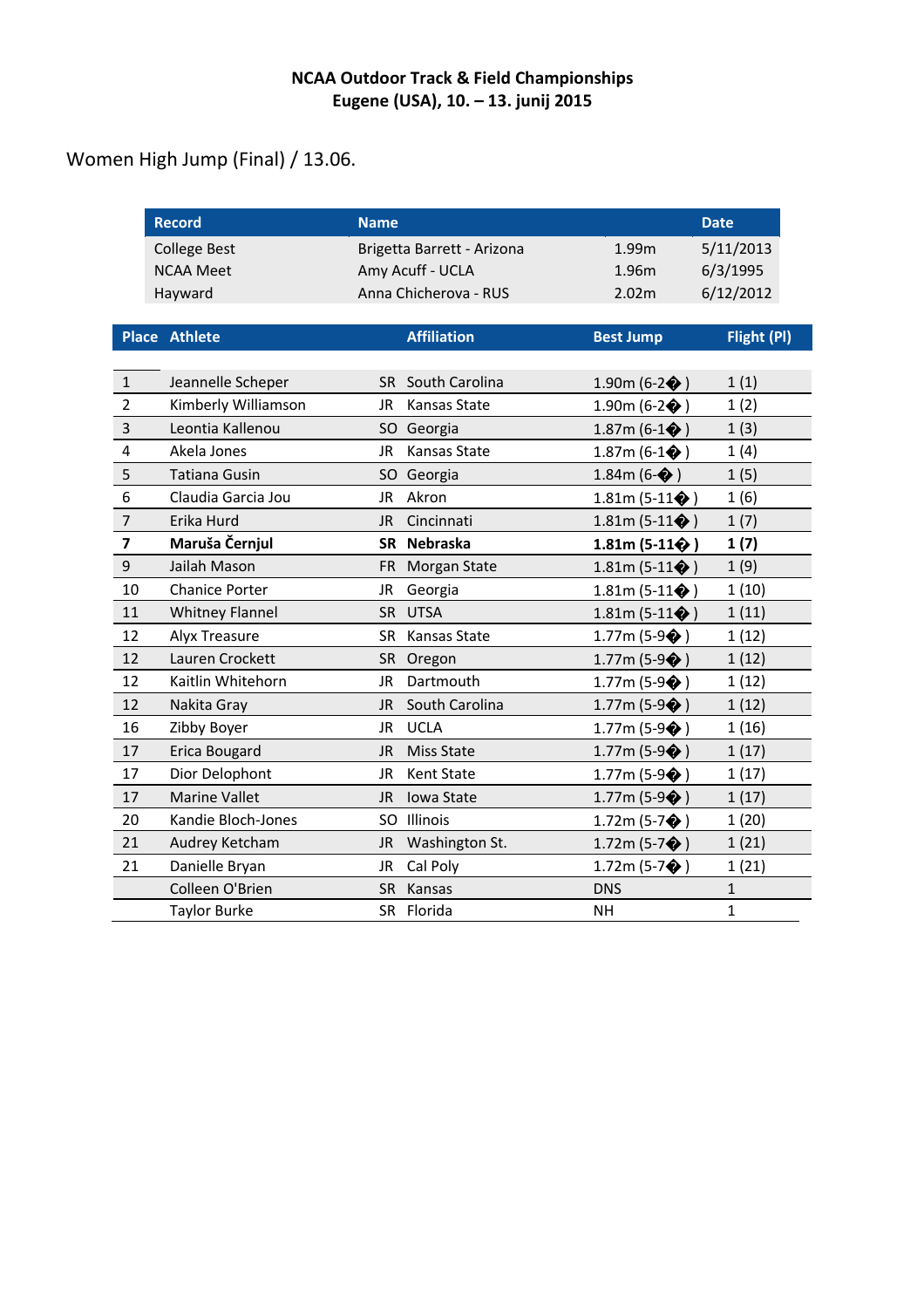Women High Jump (Final) / 13.06.

|                | <b>Record</b>          | <b>Name</b> |                            |                             | <b>Date</b>  |  |  |
|----------------|------------------------|-------------|----------------------------|-----------------------------|--------------|--|--|
|                | <b>College Best</b>    |             | Brigetta Barrett - Arizona | 1.99m                       | 5/11/2013    |  |  |
|                | <b>NCAA Meet</b>       |             | Amy Acuff - UCLA           | 1.96m                       | 6/3/1995     |  |  |
|                | Hayward                |             | Anna Chicherova - RUS      | 2.02m                       | 6/12/2012    |  |  |
|                |                        |             |                            |                             |              |  |  |
|                | <b>Place Athlete</b>   |             | <b>Affiliation</b>         | <b>Best Jump</b>            | Flight (PI)  |  |  |
|                |                        |             |                            |                             |              |  |  |
| $\mathbf{1}$   | Jeannelle Scheper      |             | SR South Carolina          | 1.90m (6-2 $\bigcirc$ )     | 1(1)         |  |  |
| $\overline{2}$ | Kimberly Williamson    | JR          | Kansas State               | 1.90m (6-2 $\bigcirc$ )     | 1(2)         |  |  |
| 3              | Leontia Kallenou       | SO.         | Georgia                    | 1.87m (6-1 $\bigcirc$ )     | 1(3)         |  |  |
| 4              | Akela Jones            | JR          | Kansas State               | 1.87m (6-1 $\bigcirc$ )     | 1(4)         |  |  |
| 5              | <b>Tatiana Gusin</b>   |             | SO Georgia                 | 1.84m (6- $\bigcirc$ )      | 1(5)         |  |  |
| 6              | Claudia Garcia Jou     | <b>JR</b>   | Akron                      | 1.81m (5-11 $\spadesuit$ )  | 1(6)         |  |  |
| $\overline{7}$ | Erika Hurd             | <b>JR</b>   | Cincinnati                 | 1.81m (5-11 $\bigcirc$ )    | 1(7)         |  |  |
| 7              | Maruša Černjul         |             | SR Nebraska                | 1.81m (5-11 $\bigcirc$ )    | 1(7)         |  |  |
| 9              | Jailah Mason           |             | FR Morgan State            | 1.81m (5-11 $\spadesuit$ )  | 1(9)         |  |  |
| 10             | <b>Chanice Porter</b>  | JR          | Georgia                    | 1.81m (5-11 $\spadesuit$ )  | 1(10)        |  |  |
| 11             | <b>Whitney Flannel</b> | <b>SR</b>   | <b>UTSA</b>                | 1.81m (5-11 $\spadesuit$ )  | 1(11)        |  |  |
| 12             | Alyx Treasure          | <b>SR</b>   | Kansas State               | 1.77m (5-9 $\diamondsuit$ ) | 1(12)        |  |  |
| 12             | Lauren Crockett        | <b>SR</b>   | Oregon                     | 1.77m (5-9 $\diamondsuit$ ) | 1(12)        |  |  |
| 12             | Kaitlin Whitehorn      | JR          | Dartmouth                  | 1.77m (5-9 $\diamondsuit$ ) | 1(12)        |  |  |
| 12             | Nakita Gray            | JR          | South Carolina             | 1.77m (5-9 $\diamondsuit$ ) | 1(12)        |  |  |
| 16             | Zibby Boyer            | JR          | <b>UCLA</b>                | 1.77m (5-9 $\diamondsuit$ ) | 1(16)        |  |  |
| 17             | Erica Bougard          | <b>JR</b>   | <b>Miss State</b>          | 1.77m (5-9 $\diamondsuit$ ) | 1(17)        |  |  |
| 17             | Dior Delophont         | JR          | <b>Kent State</b>          | 1.77m (5-9 $\diamondsuit$ ) | 1(17)        |  |  |
| 17             | <b>Marine Vallet</b>   | <b>JR</b>   | Iowa State                 | 1.77m (5-9 $\diamondsuit$ ) | 1(17)        |  |  |
| 20             | Kandie Bloch-Jones     |             | SO Illinois                | 1.72m (5-7 $\diamondsuit$ ) | 1(20)        |  |  |
| 21             | Audrey Ketcham         | <b>JR</b>   | Washington St.             | 1.72m (5-7 $\diamondsuit$ ) | 1(21)        |  |  |
| 21             | Danielle Bryan         | <b>JR</b>   | Cal Poly                   | 1.72m (5-7 $\diamondsuit$ ) | 1(21)        |  |  |
|                | Colleen O'Brien        | SR          | Kansas                     | <b>DNS</b>                  | $\mathbf{1}$ |  |  |
|                | <b>Taylor Burke</b>    |             | SR Florida                 | <b>NH</b>                   | $\mathbf{1}$ |  |  |